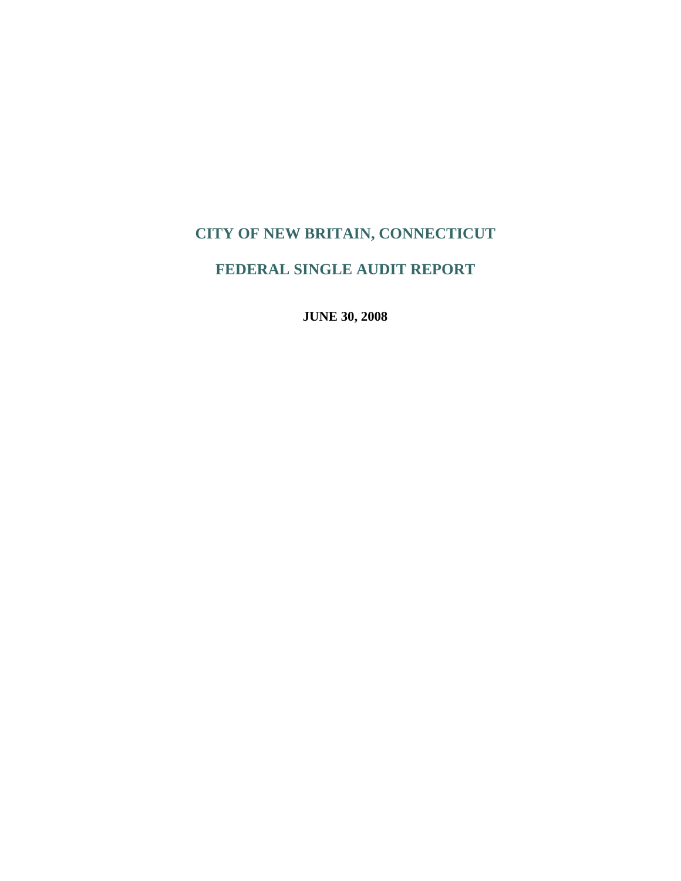# **FEDERAL SINGLE AUDIT REPORT**

**JUNE 30, 2008**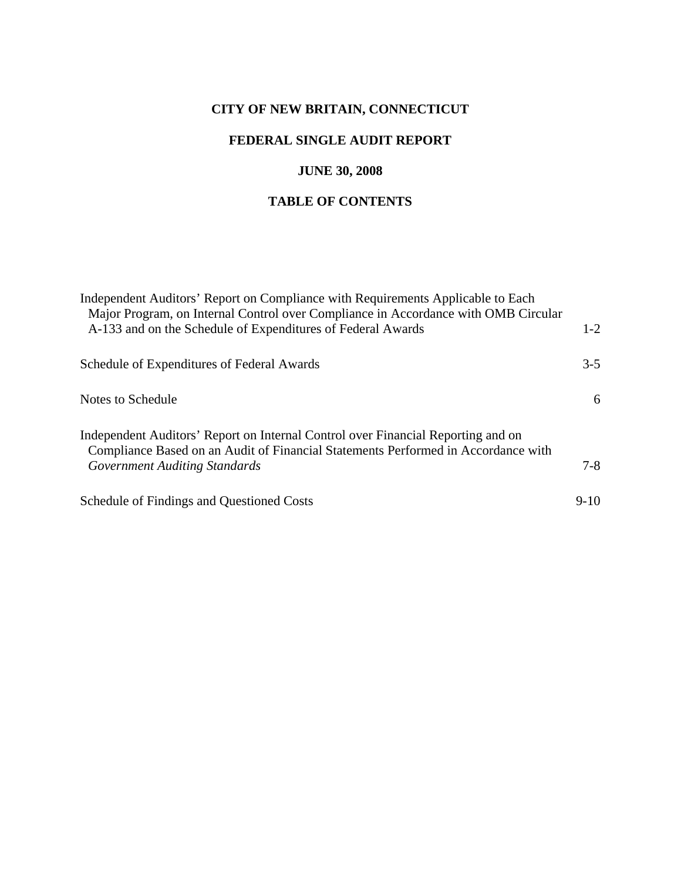# **FEDERAL SINGLE AUDIT REPORT**

## **JUNE 30, 2008**

# **TABLE OF CONTENTS**

| Independent Auditors' Report on Compliance with Requirements Applicable to Each<br>Major Program, on Internal Control over Compliance in Accordance with OMB Circular |         |
|-----------------------------------------------------------------------------------------------------------------------------------------------------------------------|---------|
| A-133 and on the Schedule of Expenditures of Federal Awards                                                                                                           | $1 - 2$ |
| Schedule of Expenditures of Federal Awards                                                                                                                            | $3 - 5$ |
| Notes to Schedule                                                                                                                                                     | 6       |
| Independent Auditors' Report on Internal Control over Financial Reporting and on<br>Compliance Based on an Audit of Financial Statements Performed in Accordance with |         |
| <b>Government Auditing Standards</b>                                                                                                                                  | $7-8$   |
| Schedule of Findings and Questioned Costs                                                                                                                             | $9-10$  |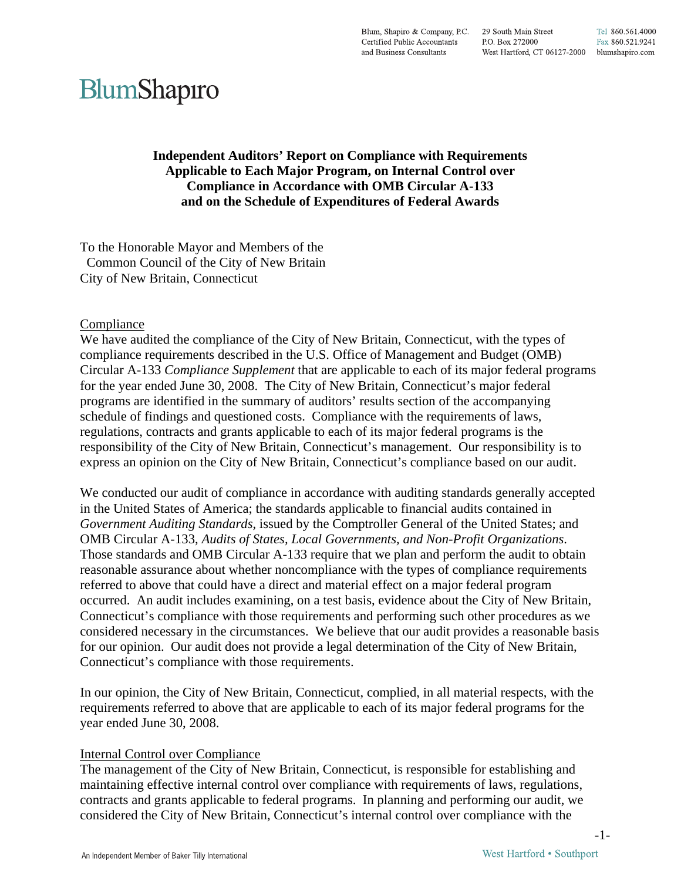Blum, Shapiro & Company, P.C. 29 South Main Street Tel 860.561.4000 Certified Public Accountants P.O. Box 272000 Fax 860.521.9241 and Business Consultants West Hartford, CT 06127-2000 blumshapiro.com

# BlumShapiro

**Independent Auditors' Report on Compliance with Requirements Applicable to Each Major Program, on Internal Control over Compliance in Accordance with OMB Circular A-133 and on the Schedule of Expenditures of Federal Awards** 

To the Honorable Mayor and Members of the Common Council of the City of New Britain City of New Britain, Connecticut

#### Compliance

We have audited the compliance of the City of New Britain, Connecticut, with the types of compliance requirements described in the U.S. Office of Management and Budget (OMB) Circular A-133 *Compliance Supplement* that are applicable to each of its major federal programs for the year ended June 30, 2008. The City of New Britain, Connecticut's major federal programs are identified in the summary of auditors' results section of the accompanying schedule of findings and questioned costs. Compliance with the requirements of laws, regulations, contracts and grants applicable to each of its major federal programs is the responsibility of the City of New Britain, Connecticut's management. Our responsibility is to express an opinion on the City of New Britain, Connecticut's compliance based on our audit.

We conducted our audit of compliance in accordance with auditing standards generally accepted in the United States of America; the standards applicable to financial audits contained in *Government Auditing Standards*, issued by the Comptroller General of the United States; and OMB Circular A-133, *Audits of States, Local Governments, and Non-Profit Organizations*. Those standards and OMB Circular A-133 require that we plan and perform the audit to obtain reasonable assurance about whether noncompliance with the types of compliance requirements referred to above that could have a direct and material effect on a major federal program occurred. An audit includes examining, on a test basis, evidence about the City of New Britain, Connecticut's compliance with those requirements and performing such other procedures as we considered necessary in the circumstances. We believe that our audit provides a reasonable basis for our opinion. Our audit does not provide a legal determination of the City of New Britain, Connecticut's compliance with those requirements.

In our opinion, the City of New Britain, Connecticut, complied, in all material respects, with the requirements referred to above that are applicable to each of its major federal programs for the year ended June 30, 2008.

#### Internal Control over Compliance

The management of the City of New Britain, Connecticut, is responsible for establishing and maintaining effective internal control over compliance with requirements of laws, regulations, contracts and grants applicable to federal programs. In planning and performing our audit, we considered the City of New Britain, Connecticut's internal control over compliance with the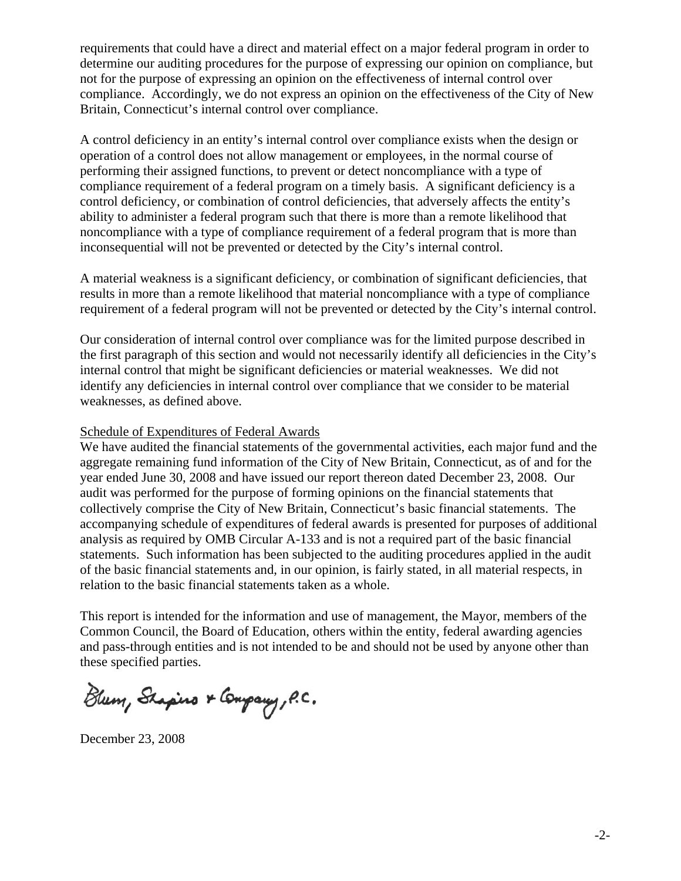requirements that could have a direct and material effect on a major federal program in order to determine our auditing procedures for the purpose of expressing our opinion on compliance, but not for the purpose of expressing an opinion on the effectiveness of internal control over compliance. Accordingly, we do not express an opinion on the effectiveness of the City of New Britain, Connecticut's internal control over compliance.

A control deficiency in an entity's internal control over compliance exists when the design or operation of a control does not allow management or employees, in the normal course of performing their assigned functions, to prevent or detect noncompliance with a type of compliance requirement of a federal program on a timely basis. A significant deficiency is a control deficiency, or combination of control deficiencies, that adversely affects the entity's ability to administer a federal program such that there is more than a remote likelihood that noncompliance with a type of compliance requirement of a federal program that is more than inconsequential will not be prevented or detected by the City's internal control.

A material weakness is a significant deficiency, or combination of significant deficiencies, that results in more than a remote likelihood that material noncompliance with a type of compliance requirement of a federal program will not be prevented or detected by the City's internal control.

Our consideration of internal control over compliance was for the limited purpose described in the first paragraph of this section and would not necessarily identify all deficiencies in the City's internal control that might be significant deficiencies or material weaknesses. We did not identify any deficiencies in internal control over compliance that we consider to be material weaknesses, as defined above.

#### Schedule of Expenditures of Federal Awards

We have audited the financial statements of the governmental activities, each major fund and the aggregate remaining fund information of the City of New Britain, Connecticut, as of and for the year ended June 30, 2008 and have issued our report thereon dated December 23, 2008. Our audit was performed for the purpose of forming opinions on the financial statements that collectively comprise the City of New Britain, Connecticut's basic financial statements. The accompanying schedule of expenditures of federal awards is presented for purposes of additional analysis as required by OMB Circular A-133 and is not a required part of the basic financial statements. Such information has been subjected to the auditing procedures applied in the audit of the basic financial statements and, in our opinion, is fairly stated, in all material respects, in relation to the basic financial statements taken as a whole.

This report is intended for the information and use of management, the Mayor, members of the Common Council, the Board of Education, others within the entity, federal awarding agencies and pass-through entities and is not intended to be and should not be used by anyone other than these specified parties.

Blum, Shapino & Company, P.C.

December 23, 2008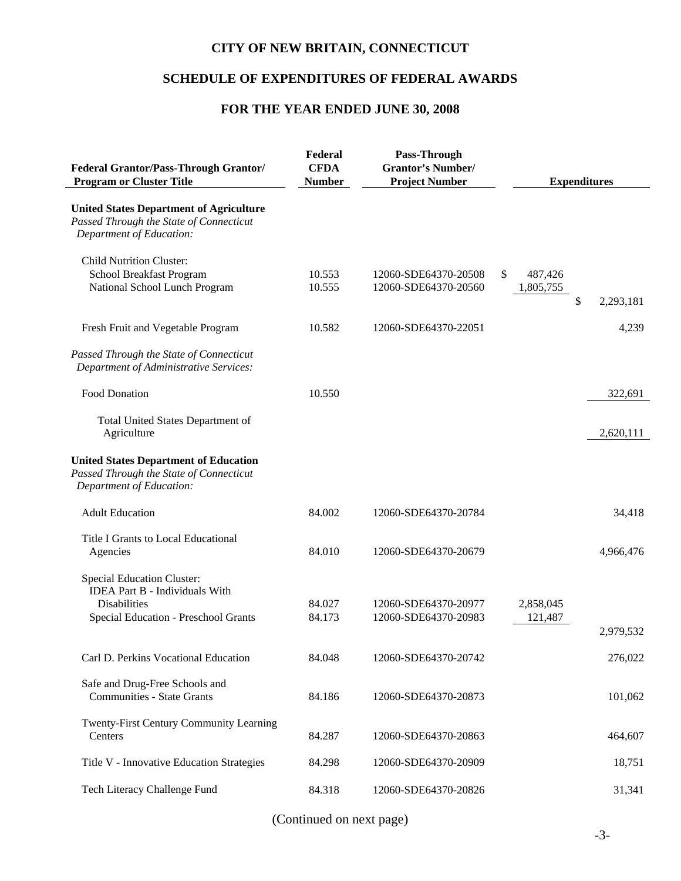## **SCHEDULE OF EXPENDITURES OF FEDERAL AWARDS**

# **FOR THE YEAR ENDED JUNE 30, 2008**

| <b>Federal Grantor/Pass-Through Grantor/</b><br><b>Program or Cluster Title</b>                                                           | Federal<br><b>CFDA</b><br><b>Number</b> | Pass-Through<br><b>Grantor's Number/</b><br><b>Project Number</b> | <b>Expenditures</b>                           |
|-------------------------------------------------------------------------------------------------------------------------------------------|-----------------------------------------|-------------------------------------------------------------------|-----------------------------------------------|
| <b>United States Department of Agriculture</b><br>Passed Through the State of Connecticut<br>Department of Education:                     |                                         |                                                                   |                                               |
| <b>Child Nutrition Cluster:</b><br>School Breakfast Program<br>National School Lunch Program                                              | 10.553<br>10.555                        | 12060-SDE64370-20508<br>12060-SDE64370-20560                      | \$<br>487,426<br>1,805,755<br>\$<br>2,293,181 |
| Fresh Fruit and Vegetable Program                                                                                                         | 10.582                                  | 12060-SDE64370-22051                                              | 4,239                                         |
| Passed Through the State of Connecticut<br>Department of Administrative Services:                                                         |                                         |                                                                   |                                               |
| <b>Food Donation</b>                                                                                                                      | 10.550                                  |                                                                   | 322,691                                       |
| <b>Total United States Department of</b><br>Agriculture                                                                                   |                                         |                                                                   | 2,620,111                                     |
| <b>United States Department of Education</b><br>Passed Through the State of Connecticut<br>Department of Education:                       |                                         |                                                                   |                                               |
| <b>Adult Education</b>                                                                                                                    | 84.002                                  | 12060-SDE64370-20784                                              | 34,418                                        |
| Title I Grants to Local Educational<br>Agencies                                                                                           | 84.010                                  | 12060-SDE64370-20679                                              | 4,966,476                                     |
| <b>Special Education Cluster:</b><br><b>IDEA Part B - Individuals With</b><br><b>Disabilities</b><br>Special Education - Preschool Grants | 84.027<br>84.173                        | 12060-SDE64370-20977<br>12060-SDE64370-20983                      | 2,858,045<br>121,487<br>2,979,532             |
| Carl D. Perkins Vocational Education                                                                                                      | 84.048                                  | 12060-SDE64370-20742                                              | 276,022                                       |
| Safe and Drug-Free Schools and<br><b>Communities - State Grants</b>                                                                       | 84.186                                  | 12060-SDE64370-20873                                              | 101,062                                       |
| Twenty-First Century Community Learning<br>Centers                                                                                        | 84.287                                  | 12060-SDE64370-20863                                              | 464,607                                       |
| Title V - Innovative Education Strategies                                                                                                 | 84.298                                  | 12060-SDE64370-20909                                              | 18,751                                        |
| Tech Literacy Challenge Fund                                                                                                              | 84.318                                  | 12060-SDE64370-20826                                              | 31,341                                        |

(Continued on next page)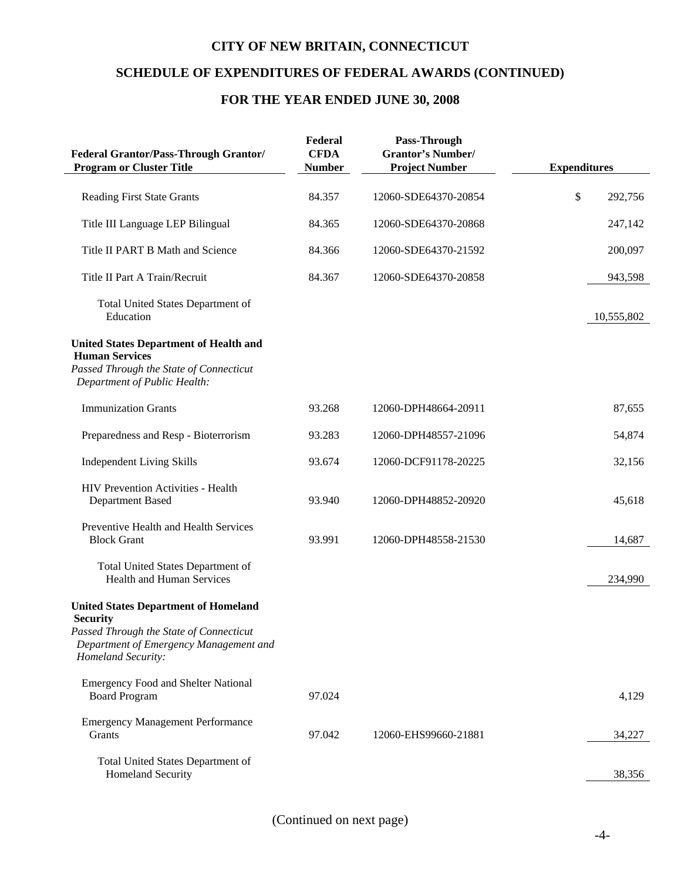## **SCHEDULE OF EXPENDITURES OF FEDERAL AWARDS (CONTINUED)**

# **FOR THE YEAR ENDED JUNE 30, 2008**

| <b>Federal Grantor/Pass-Through Grantor/</b><br><b>Program or Cluster Title</b>                                                                                           | Federal<br><b>CFDA</b><br><b>Number</b> | Pass-Through<br><b>Grantor's Number/</b><br><b>Project Number</b> | <b>Expenditures</b> |
|---------------------------------------------------------------------------------------------------------------------------------------------------------------------------|-----------------------------------------|-------------------------------------------------------------------|---------------------|
| <b>Reading First State Grants</b>                                                                                                                                         | 84.357                                  | 12060-SDE64370-20854                                              | \$<br>292,756       |
| Title III Language LEP Bilingual                                                                                                                                          | 84.365                                  | 12060-SDE64370-20868                                              | 247,142             |
| Title II PART B Math and Science                                                                                                                                          | 84.366                                  | 12060-SDE64370-21592                                              | 200,097             |
| Title II Part A Train/Recruit                                                                                                                                             | 84.367                                  | 12060-SDE64370-20858                                              | 943,598             |
| Total United States Department of<br>Education                                                                                                                            |                                         |                                                                   | 10,555,802          |
| <b>United States Department of Health and</b><br><b>Human Services</b><br>Passed Through the State of Connecticut<br>Department of Public Health:                         |                                         |                                                                   |                     |
| <b>Immunization Grants</b>                                                                                                                                                | 93.268                                  | 12060-DPH48664-20911                                              | 87,655              |
| Preparedness and Resp - Bioterrorism                                                                                                                                      | 93.283                                  | 12060-DPH48557-21096                                              | 54,874              |
| <b>Independent Living Skills</b>                                                                                                                                          | 93.674                                  | 12060-DCF91178-20225                                              | 32,156              |
| HIV Prevention Activities - Health<br>Department Based                                                                                                                    | 93.940                                  | 12060-DPH48852-20920                                              | 45,618              |
| Preventive Health and Health Services<br><b>Block Grant</b>                                                                                                               | 93.991                                  | 12060-DPH48558-21530                                              | 14,687              |
| <b>Total United States Department of</b><br><b>Health and Human Services</b>                                                                                              |                                         |                                                                   | 234,990             |
| <b>United States Department of Homeland</b><br><b>Security</b><br>Passed Through the State of Connecticut<br>Department of Emergency Management and<br>Homeland Security: |                                         |                                                                   |                     |
| <b>Emergency Food and Shelter National</b><br><b>Board Program</b>                                                                                                        | 97.024                                  |                                                                   | 4,129               |
| <b>Emergency Management Performance</b><br>Grants                                                                                                                         | 97.042                                  | 12060-EHS99660-21881                                              | 34,227              |
| Total United States Department of<br>Homeland Security                                                                                                                    |                                         |                                                                   | 38,356              |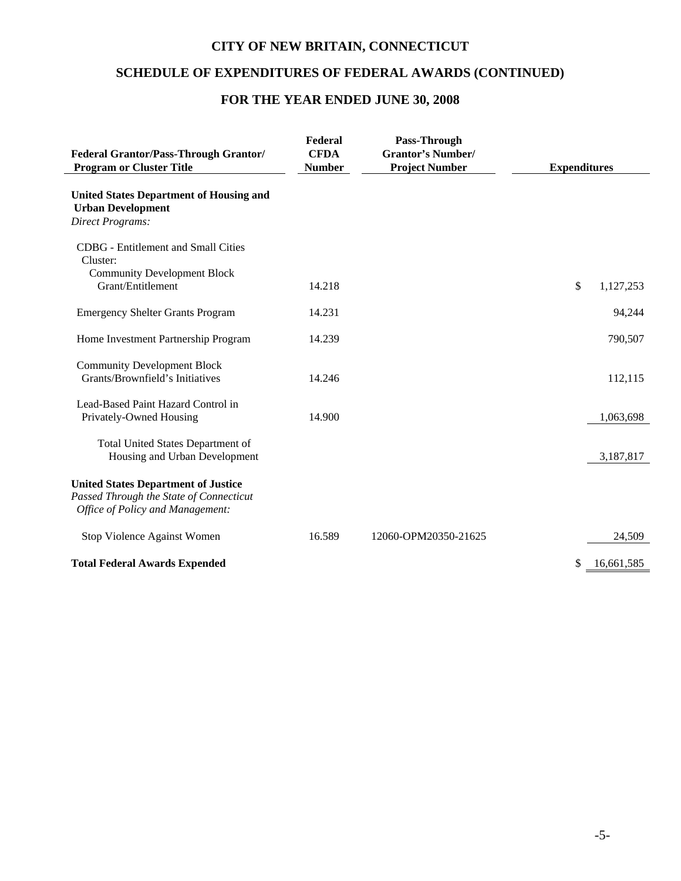# **SCHEDULE OF EXPENDITURES OF FEDERAL AWARDS (CONTINUED)**

# **FOR THE YEAR ENDED JUNE 30, 2008**

| <b>Federal Grantor/Pass-Through Grantor/</b><br><b>Program or Cluster Title</b>                                           | Federal<br><b>CFDA</b><br><b>Number</b> | Pass-Through<br><b>Grantor's Number/</b><br><b>Project Number</b> | <b>Expenditures</b> |
|---------------------------------------------------------------------------------------------------------------------------|-----------------------------------------|-------------------------------------------------------------------|---------------------|
| <b>United States Department of Housing and</b><br><b>Urban Development</b><br><b>Direct Programs:</b>                     |                                         |                                                                   |                     |
| <b>CDBG</b> - Entitlement and Small Cities<br>Cluster:                                                                    |                                         |                                                                   |                     |
| <b>Community Development Block</b><br>Grant/Entitlement                                                                   | 14.218                                  |                                                                   | \$<br>1,127,253     |
| <b>Emergency Shelter Grants Program</b>                                                                                   | 14.231                                  |                                                                   | 94,244              |
| Home Investment Partnership Program                                                                                       | 14.239                                  |                                                                   | 790,507             |
| <b>Community Development Block</b><br>Grants/Brownfield's Initiatives                                                     | 14.246                                  |                                                                   | 112,115             |
| Lead-Based Paint Hazard Control in<br>Privately-Owned Housing                                                             | 14.900                                  |                                                                   | 1,063,698           |
| <b>Total United States Department of</b><br>Housing and Urban Development                                                 |                                         |                                                                   | 3,187,817           |
| <b>United States Department of Justice</b><br>Passed Through the State of Connecticut<br>Office of Policy and Management: |                                         |                                                                   |                     |
| Stop Violence Against Women                                                                                               | 16.589                                  | 12060-OPM20350-21625                                              | 24,509              |
| <b>Total Federal Awards Expended</b>                                                                                      |                                         |                                                                   | \$<br>16,661,585    |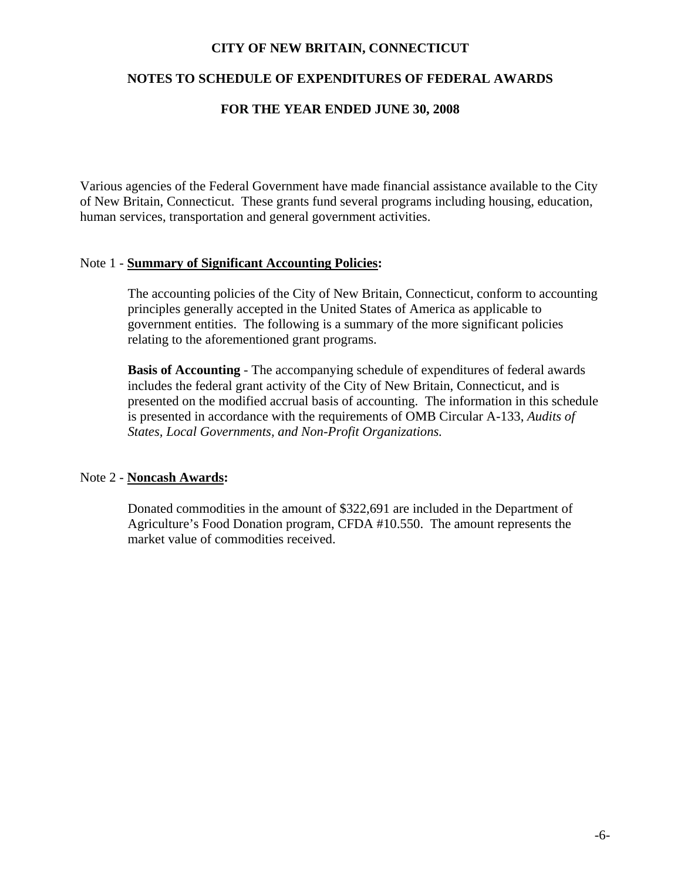#### **NOTES TO SCHEDULE OF EXPENDITURES OF FEDERAL AWARDS**

#### **FOR THE YEAR ENDED JUNE 30, 2008**

Various agencies of the Federal Government have made financial assistance available to the City of New Britain, Connecticut. These grants fund several programs including housing, education, human services, transportation and general government activities.

#### Note 1 - **Summary of Significant Accounting Policies:**

The accounting policies of the City of New Britain, Connecticut, conform to accounting principles generally accepted in the United States of America as applicable to government entities. The following is a summary of the more significant policies relating to the aforementioned grant programs.

**Basis of Accounting** - The accompanying schedule of expenditures of federal awards includes the federal grant activity of the City of New Britain, Connecticut, and is presented on the modified accrual basis of accounting. The information in this schedule is presented in accordance with the requirements of OMB Circular A-133, *Audits of States, Local Governments, and Non-Profit Organizations.*

#### Note 2 - **Noncash Awards:**

Donated commodities in the amount of \$322,691 are included in the Department of Agriculture's Food Donation program, CFDA #10.550. The amount represents the market value of commodities received.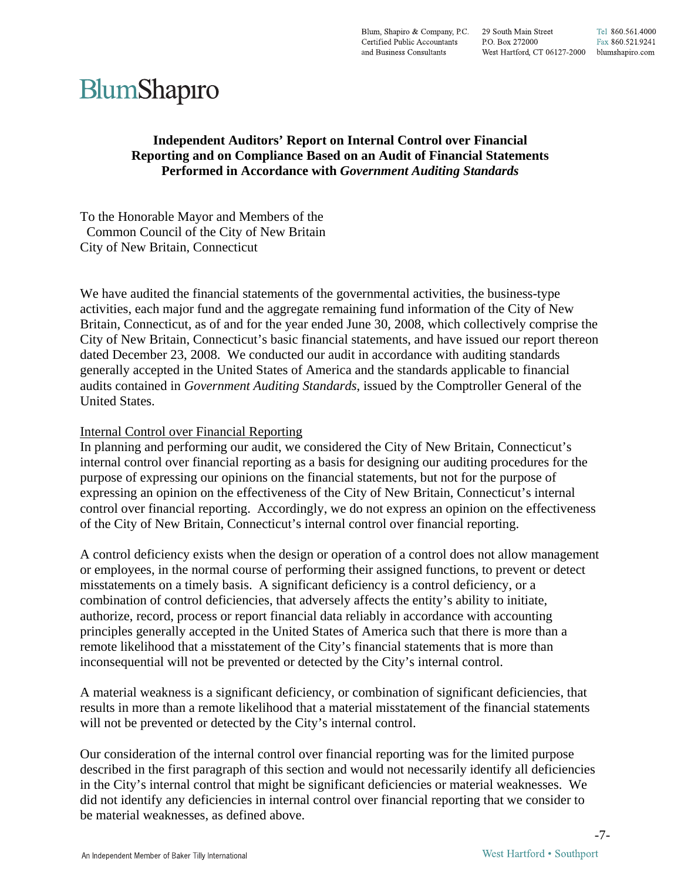# BlumShapıro

#### **Independent Auditors' Report on Internal Control over Financial Reporting and on Compliance Based on an Audit of Financial Statements Performed in Accordance with** *Government Auditing Standards*

To the Honorable Mayor and Members of the Common Council of the City of New Britain City of New Britain, Connecticut

We have audited the financial statements of the governmental activities, the business-type activities, each major fund and the aggregate remaining fund information of the City of New Britain, Connecticut, as of and for the year ended June 30, 2008, which collectively comprise the City of New Britain, Connecticut's basic financial statements, and have issued our report thereon dated December 23, 2008. We conducted our audit in accordance with auditing standards generally accepted in the United States of America and the standards applicable to financial audits contained in *Government Auditing Standards*, issued by the Comptroller General of the United States.

#### Internal Control over Financial Reporting

In planning and performing our audit, we considered the City of New Britain, Connecticut's internal control over financial reporting as a basis for designing our auditing procedures for the purpose of expressing our opinions on the financial statements, but not for the purpose of expressing an opinion on the effectiveness of the City of New Britain, Connecticut's internal control over financial reporting. Accordingly, we do not express an opinion on the effectiveness of the City of New Britain, Connecticut's internal control over financial reporting.

A control deficiency exists when the design or operation of a control does not allow management or employees, in the normal course of performing their assigned functions, to prevent or detect misstatements on a timely basis. A significant deficiency is a control deficiency, or a combination of control deficiencies, that adversely affects the entity's ability to initiate, authorize, record, process or report financial data reliably in accordance with accounting principles generally accepted in the United States of America such that there is more than a remote likelihood that a misstatement of the City's financial statements that is more than inconsequential will not be prevented or detected by the City's internal control.

A material weakness is a significant deficiency, or combination of significant deficiencies, that results in more than a remote likelihood that a material misstatement of the financial statements will not be prevented or detected by the City's internal control.

Our consideration of the internal control over financial reporting was for the limited purpose described in the first paragraph of this section and would not necessarily identify all deficiencies in the City's internal control that might be significant deficiencies or material weaknesses. We did not identify any deficiencies in internal control over financial reporting that we consider to be material weaknesses, as defined above.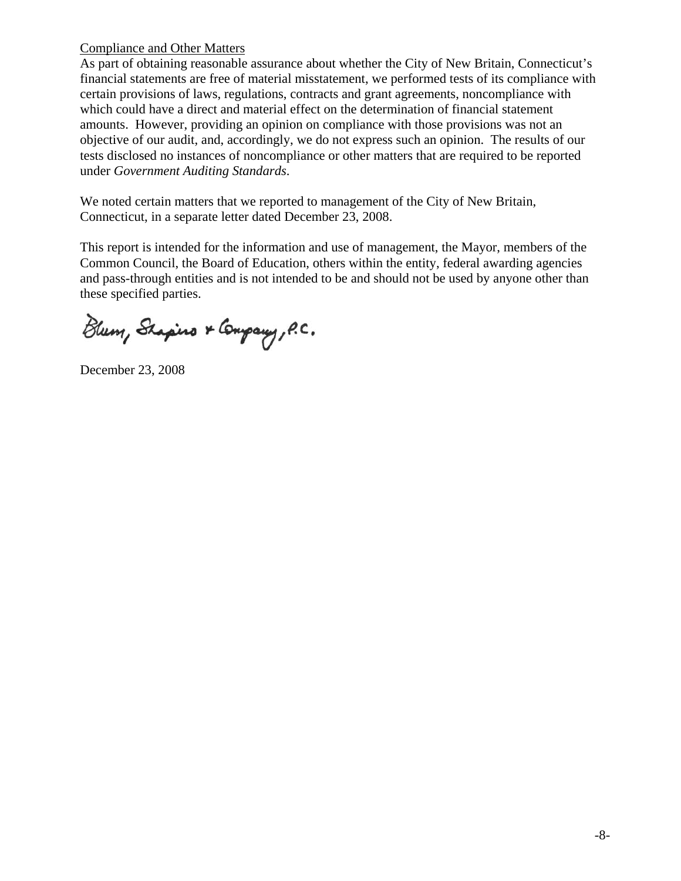#### Compliance and Other Matters

As part of obtaining reasonable assurance about whether the City of New Britain, Connecticut's financial statements are free of material misstatement, we performed tests of its compliance with certain provisions of laws, regulations, contracts and grant agreements, noncompliance with which could have a direct and material effect on the determination of financial statement amounts. However, providing an opinion on compliance with those provisions was not an objective of our audit, and, accordingly, we do not express such an opinion. The results of our tests disclosed no instances of noncompliance or other matters that are required to be reported under *Government Auditing Standards*.

We noted certain matters that we reported to management of the City of New Britain, Connecticut, in a separate letter dated December 23, 2008.

This report is intended for the information and use of management, the Mayor, members of the Common Council, the Board of Education, others within the entity, federal awarding agencies and pass-through entities and is not intended to be and should not be used by anyone other than these specified parties.

Blum, Shapino & Company, P.C.

December 23, 2008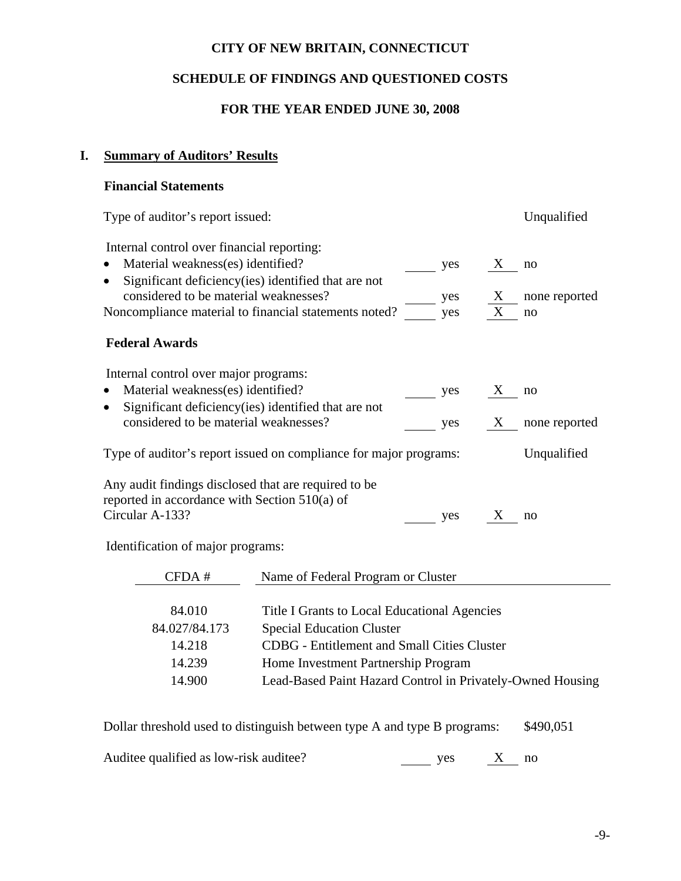# **SCHEDULE OF FINDINGS AND QUESTIONED COSTS**

### **FOR THE YEAR ENDED JUNE 30, 2008**

# **I. Summary of Auditors' Results**

## **Financial Statements**

| Type of auditor's report issued:                                                                        |     |   | Unqualified   |
|---------------------------------------------------------------------------------------------------------|-----|---|---------------|
| Internal control over financial reporting:                                                              |     |   |               |
| Material weakness(es) identified?                                                                       | yes | X | no            |
| Significant deficiency (ies) identified that are not                                                    |     |   |               |
| considered to be material weaknesses?                                                                   | yes | X | none reported |
| Noncompliance material to financial statements noted?                                                   | yes | X | no            |
| <b>Federal Awards</b>                                                                                   |     |   |               |
| Internal control over major programs:                                                                   |     |   |               |
| Material weakness(es) identified?                                                                       | yes | X | no            |
| Significant deficiency (ies) identified that are not                                                    |     |   |               |
| considered to be material weaknesses?                                                                   | yes | X | none reported |
| Type of auditor's report issued on compliance for major programs:                                       |     |   | Unqualified   |
| Any audit findings disclosed that are required to be<br>reported in accordance with Section $510(a)$ of |     |   |               |
| Circular A-133?                                                                                         | yes | X | no            |
|                                                                                                         |     |   |               |

Identification of major programs:

| CFDA#         | Name of Federal Program or Cluster                         |
|---------------|------------------------------------------------------------|
|               |                                                            |
| 84.010        | Title I Grants to Local Educational Agencies               |
| 84.027/84.173 | <b>Special Education Cluster</b>                           |
| 14.218        | <b>CDBG</b> - Entitlement and Small Cities Cluster         |
| 14.239        | Home Investment Partnership Program                        |
| 14.900        | Lead-Based Paint Hazard Control in Privately-Owned Housing |

Dollar threshold used to distinguish between type A and type B programs: \$490,051

Auditee qualified as low-risk auditee?  $\frac{X}{x}$  no